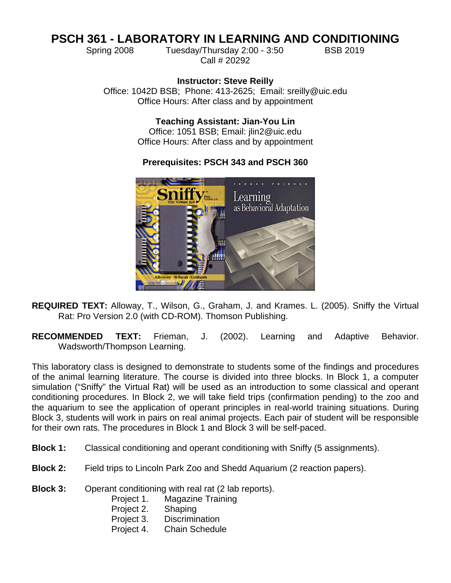# **PSCH 361 - LABORATORY IN LEARNING AND CONDITIONING**

Spring 2008 Tuesday/Thursday 2:00 - 3:50 BSB 2019 Call # 20292

**Instructor: Steve Reilly** Office: 1042D BSB; Phone: 413-2625; Email: sreilly@uic.edu Office Hours: After class and by appointment

> **Teaching Assistant: Jian-You Lin** Office: 1051 BSB; Email: jlin2@uic.edu Office Hours: After class and by appointment

# **Prerequisites: PSCH 343 and PSCH 360**



- **REQUIRED TEXT:** Alloway, T., Wilson, G., Graham, J. and Krames. L. (2005). Sniffy the Virtual Rat: Pro Version 2.0 (with CD-ROM). Thomson Publishing.
- **RECOMMENDED TEXT:** Frieman, J. (2002). Learning and Adaptive Behavior. Wadsworth/Thompson Learning.

This laboratory class is designed to demonstrate to students some of the findings and procedures of the animal learning literature. The course is divided into three blocks. In Block 1, a computer simulation ("Sniffy" the Virtual Rat) will be used as an introduction to some classical and operant conditioning procedures. In Block 2, we will take field trips (confirmation pending) to the zoo and the aquarium to see the application of operant principles in real-world training situations. During Block 3, students will work in pairs on real animal projects. Each pair of student will be responsible for their own rats. The procedures in Block 1 and Block 3 will be self-paced.

- **Block 1:** Classical conditioning and operant conditioning with Sniffy (5 assignments).
- **Block 2:** Field trips to Lincoln Park Zoo and Shedd Aquarium (2 reaction papers).
- **Block 3:** Operant conditioning with real rat (2 lab reports).
	- Project 1. Magazine Training
	- Project 2. Shaping
	- Project 3. Discrimination
	- Project 4. Chain Schedule